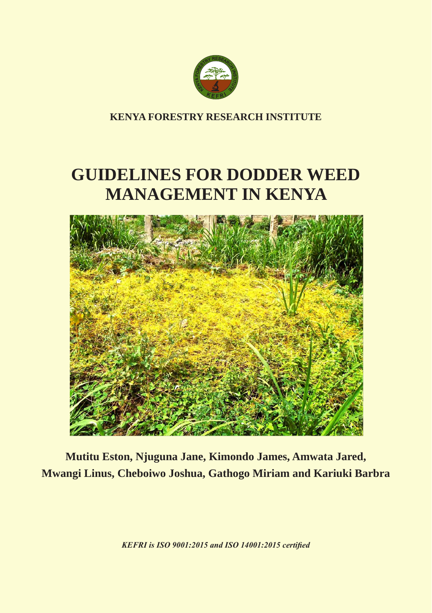

**KENYA FORESTRY RESEARCH INSTITUTE**

# **GUIDELINES FOR DODDER WEED MANAGEMENT IN KENYA**



**Mutitu Eston, Njuguna Jane, Kimondo James, Amwata Jared, Mwangi Linus, Cheboiwo Joshua, Gathogo Miriam and Kariuki Barbra**

*KEFRI is ISO 9001:2015 and ISO 14001:2015 certified*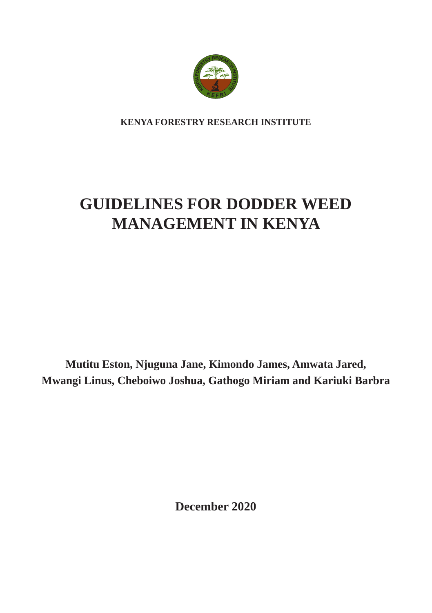

**KENYA FORESTRY RESEARCH INSTITUTE**

# **GUIDELINES FOR DODDER WEED MANAGEMENT IN KENYA**

**Mutitu Eston, Njuguna Jane, Kimondo James, Amwata Jared, Mwangi Linus, Cheboiwo Joshua, Gathogo Miriam and Kariuki Barbra**

**December 2020**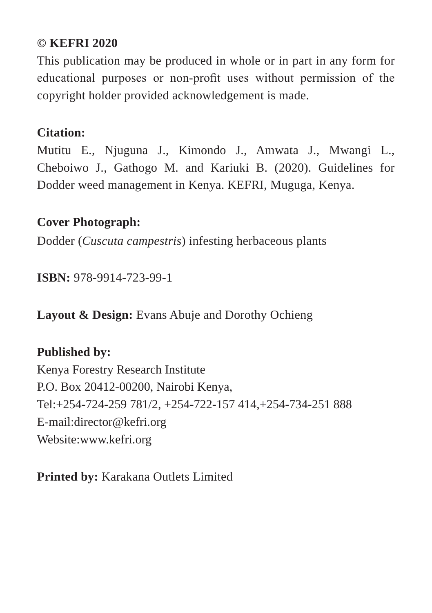#### **© KEFRI 2020**

This publication may be produced in whole or in part in any form for educational purposes or non-profit uses without permission of the copyright holder provided acknowledgement is made.

#### **Citation:**

Mutitu E., Njuguna J., Kimondo J., Amwata J., Mwangi L., Cheboiwo J., Gathogo M. and Kariuki B. (2020). Guidelines for Dodder weed management in Kenya. KEFRI, Muguga, Kenya.

#### **Cover Photograph:**

Dodder (*Cuscuta campestris*) infesting herbaceous plants

**ISBN:** 978-9914-723-99-1

**Layout & Design:** Evans Abuje and Dorothy Ochieng

#### **Published by:**

Kenya Forestry Research Institute P.O. Box 20412-00200, Nairobi Kenya, Tel:+254-724-259 781/2, +254-722-157 414,+254-734-251 888 E-mail:director@kefri.org Website:www.kefri.org

**Printed by:** Karakana Outlets Limited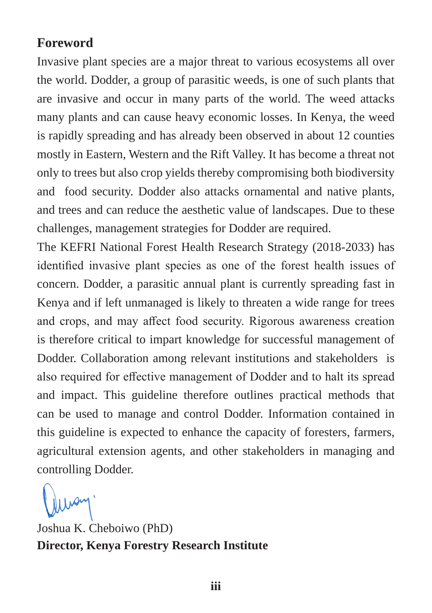#### **Foreword**

Invasive plant species are a major threat to various ecosystems all over the world. Dodder, a group of parasitic weeds, is one of such plants that are invasive and occur in many parts of the world. The weed attacks many plants and can cause heavy economic losses. In Kenya, the weed is rapidly spreading and has already been observed in about 12 counties mostly in Eastern, Western and the Rift Valley. It has become a threat not only to trees but also crop yields thereby compromising both biodiversity and food security. Dodder also attacks ornamental and native plants, and trees and can reduce the aesthetic value of landscapes. Due to these challenges, management strategies for Dodder are required.

The KEFRI National Forest Health Research Strategy (2018-2033) has identified invasive plant species as one of the forest health issues of concern. Dodder, a parasitic annual plant is currently spreading fast in Kenya and if left unmanaged is likely to threaten a wide range for trees and crops, and may affect food security. Rigorous awareness creation is therefore critical to impart knowledge for successful management of Dodder. Collaboration among relevant institutions and stakeholders is also required for effective management of Dodder and to halt its spread and impact. This guideline therefore outlines practical methods that can be used to manage and control Dodder. Information contained in this guideline is expected to enhance the capacity of foresters, farmers, agricultural extension agents, and other stakeholders in managing and controlling Dodder.

Joshua K. Cheboiwo (PhD) **Director, Kenya Forestry Research Institute**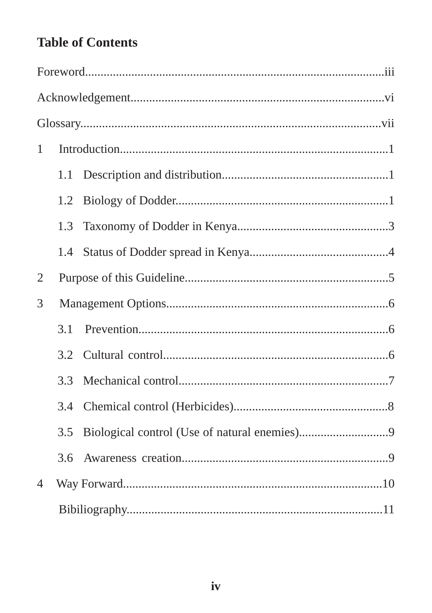# **Table of Contents**

| $\mathbf{1}$   |     |  |  |
|----------------|-----|--|--|
|                | 1.1 |  |  |
|                | 1.2 |  |  |
|                | 1.3 |  |  |
|                | 1.4 |  |  |
| 2              |     |  |  |
| 3              |     |  |  |
|                | 3.1 |  |  |
|                | 3.2 |  |  |
|                | 3.3 |  |  |
|                | 3.4 |  |  |
|                | 3.5 |  |  |
|                | 3.6 |  |  |
| $\overline{4}$ |     |  |  |
|                |     |  |  |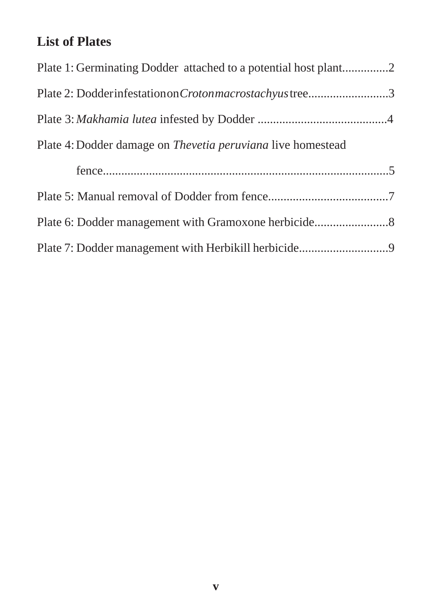# **List of Plates**

| Plate 1: Germinating Dodder attached to a potential host plant2    |  |
|--------------------------------------------------------------------|--|
| Plate 2: Dodderinfestation on Croton macrostachy us tree3          |  |
|                                                                    |  |
| Plate 4: Dodder damage on <i>Thevetia peruviana</i> live homestead |  |
|                                                                    |  |
|                                                                    |  |
|                                                                    |  |
|                                                                    |  |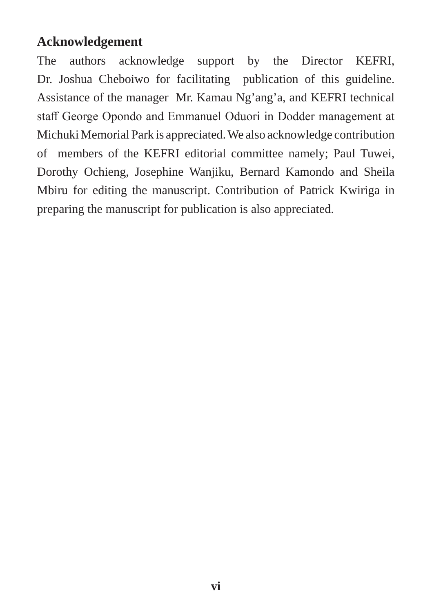#### **Acknowledgement**

The authors acknowledge support by the Director KEFRI, Dr. Joshua Cheboiwo for facilitating publication of this guideline. Assistance of the manager Mr. Kamau Ng'ang'a, and KEFRI technical staff George Opondo and Emmanuel Oduori in Dodder management at Michuki Memorial Park is appreciated. We also acknowledge contribution of members of the KEFRI editorial committee namely; Paul Tuwei, Dorothy Ochieng, Josephine Wanjiku, Bernard Kamondo and Sheila Mbiru for editing the manuscript. Contribution of Patrick Kwiriga in preparing the manuscript for publication is also appreciated.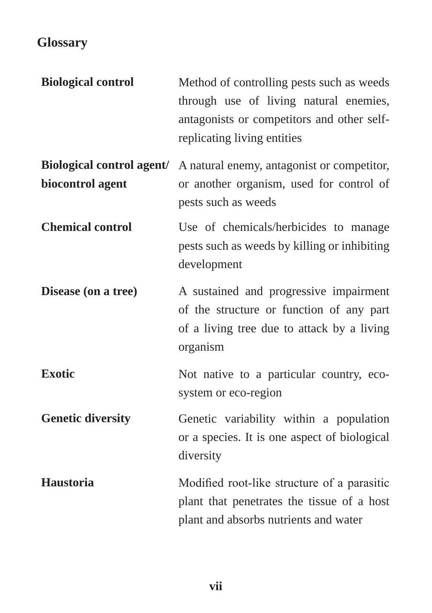# **Glossary**

| <b>Biological control</b> | Method of controlling pests such as weeds<br>through use of living natural enemies,<br>antagonists or competitors and other self-<br>replicating living entities |
|---------------------------|------------------------------------------------------------------------------------------------------------------------------------------------------------------|
| biocontrol agent          | <b>Biological control agent/</b> A natural enemy, antagonist or competitor,<br>or another organism, used for control of<br>pests such as weeds                   |
| <b>Chemical control</b>   | Use of chemicals/herbicides to manage<br>pests such as weeds by killing or inhibiting<br>development                                                             |
| Disease (on a tree)       | A sustained and progressive impairment<br>of the structure or function of any part<br>of a living tree due to attack by a living<br>organism                     |
| <b>Exotic</b>             | Not native to a particular country, eco-<br>system or eco-region                                                                                                 |
| <b>Genetic diversity</b>  | Genetic variability within a population<br>or a species. It is one aspect of biological<br>diversity                                                             |
| Haustoria                 | Modified root-like structure of a parasitic<br>plant that penetrates the tissue of a host<br>plant and absorbs nutrients and water                               |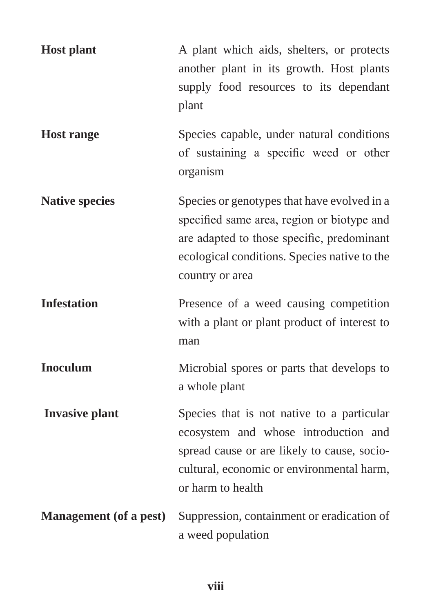| <b>Host plant</b>             | A plant which aids, shelters, or protects<br>another plant in its growth. Host plants<br>supply food resources to its dependant<br>plant                                                                   |
|-------------------------------|------------------------------------------------------------------------------------------------------------------------------------------------------------------------------------------------------------|
| <b>Host range</b>             | Species capable, under natural conditions<br>of sustaining a specific weed or other<br>organism                                                                                                            |
| <b>Native species</b>         | Species or genotypes that have evolved in a<br>specified same area, region or biotype and<br>are adapted to those specific, predominant<br>ecological conditions. Species native to the<br>country or area |
| <b>Infestation</b>            | Presence of a weed causing competition<br>with a plant or plant product of interest to<br>man                                                                                                              |
| <b>Inoculum</b>               | Microbial spores or parts that develops to<br>a whole plant                                                                                                                                                |
| <b>Invasive plant</b>         | Species that is not native to a particular<br>ecosystem and whose introduction and<br>spread cause or are likely to cause, socio-<br>cultural, economic or environmental harm,<br>or harm to health        |
| <b>Management</b> (of a pest) | Suppression, containment or eradication of<br>a weed population                                                                                                                                            |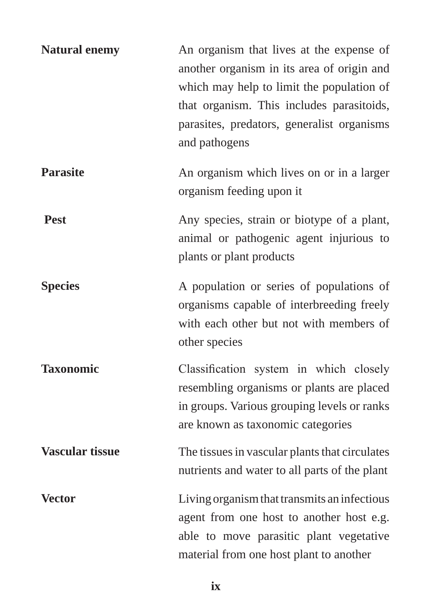| <b>Natural enemy</b>   | An organism that lives at the expense of<br>another organism in its area of origin and<br>which may help to limit the population of<br>that organism. This includes parasitoids,<br>parasites, predators, generalist organisms<br>and pathogens |
|------------------------|-------------------------------------------------------------------------------------------------------------------------------------------------------------------------------------------------------------------------------------------------|
| <b>Parasite</b>        | An organism which lives on or in a larger<br>organism feeding upon it                                                                                                                                                                           |
| <b>Pest</b>            | Any species, strain or biotype of a plant,<br>animal or pathogenic agent injurious to<br>plants or plant products                                                                                                                               |
| <b>Species</b>         | A population or series of populations of<br>organisms capable of interbreeding freely<br>with each other but not with members of<br>other species                                                                                               |
| <b>Taxonomic</b>       | Classification system in which closely<br>resembling organisms or plants are placed<br>in groups. Various grouping levels or ranks<br>are known as taxonomic categories                                                                         |
| <b>Vascular tissue</b> | The tissues in vascular plants that circulates<br>nutrients and water to all parts of the plant                                                                                                                                                 |
| <b>Vector</b>          | Living organism that transmits an infectious<br>agent from one host to another host e.g.<br>able to move parasitic plant vegetative<br>material from one host plant to another                                                                  |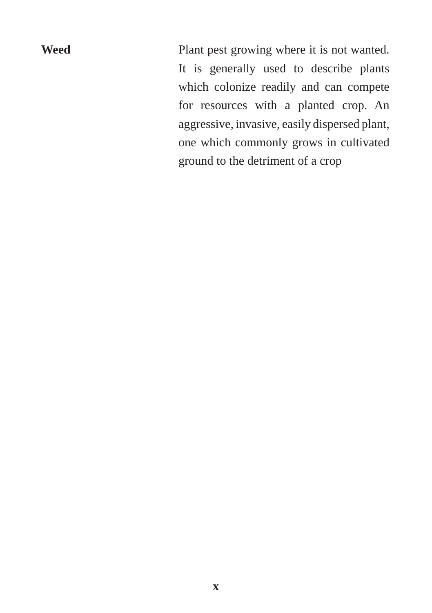**Weed** Plant pest growing where it is not wanted. It is generally used to describe plants which colonize readily and can compete for resources with a planted crop. An aggressive, invasive, easily dispersed plant, one which commonly grows in cultivated ground to the detriment of a crop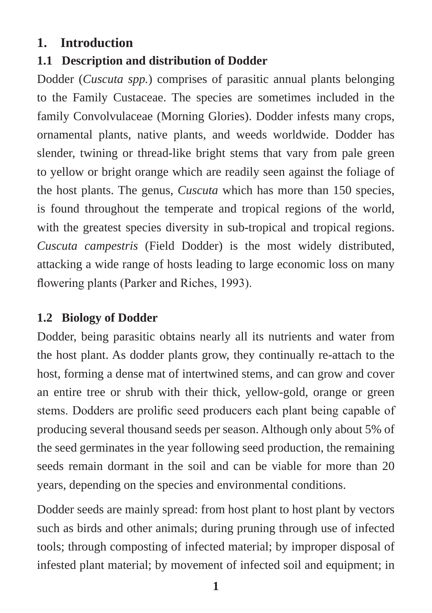#### **1. Introduction**

### **1.1 Description and distribution of Dodder**

Dodder (*Cuscuta spp.*) comprises of parasitic annual plants belonging to the Family Custaceae. The species are sometimes included in the family Convolvulaceae (Morning Glories). Dodder infests many crops, ornamental plants, native plants, and weeds worldwide. Dodder has slender, twining or thread-like bright stems that vary from pale green to yellow or bright orange which are readily seen against the foliage of the host plants. The genus, *Cuscuta* which has more than 150 species, is found throughout the temperate and tropical regions of the world, with the greatest species diversity in sub-tropical and tropical regions. *Cuscuta campestris* (Field Dodder) is the most widely distributed, attacking a wide range of hosts leading to large economic loss on many flowering plants (Parker and Riches, 1993).

#### **1.2 Biology of Dodder**

Dodder, being parasitic obtains nearly all its nutrients and water from the host plant. As dodder plants grow, they continually re-attach to the host, forming a dense mat of intertwined stems, and can grow and cover an entire tree or shrub with their thick, yellow-gold, orange or green stems. Dodders are prolific seed producers each plant being capable of producing several thousand seeds per season. Although only about 5% of the seed germinates in the year following seed production, the remaining seeds remain dormant in the soil and can be viable for more than 20 years, depending on the species and environmental conditions.

Dodder seeds are mainly spread: from host plant to host plant by vectors such as birds and other animals; during pruning through use of infected tools; through composting of infected material; by improper disposal of infested plant material; by movement of infected soil and equipment; in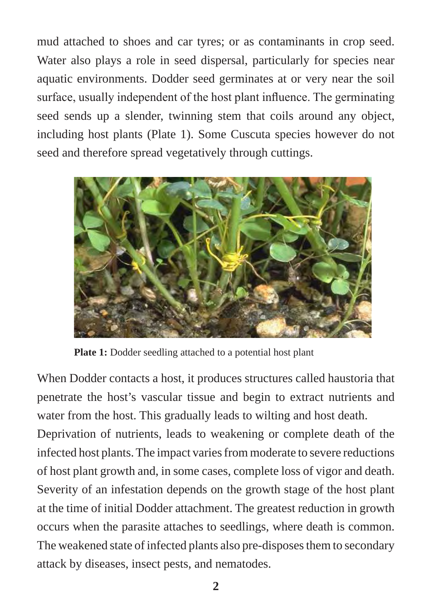mud attached to shoes and car tyres; or as contaminants in crop seed. Water also plays a role in seed dispersal, particularly for species near aquatic environments. Dodder seed germinates at or very near the soil surface, usually independent of the host plant influence. The germinating seed sends up a slender, twinning stem that coils around any object, including host plants (Plate 1). Some Cuscuta species however do not seed and therefore spread vegetatively through cuttings.



Plate 1: Dodder seedling attached to a potential host plant

When Dodder contacts a host, it produces structures called haustoria that penetrate the host's vascular tissue and begin to extract nutrients and water from the host. This gradually leads to wilting and host death.

Deprivation of nutrients, leads to weakening or complete death of the infected host plants. The impact varies from moderate to severe reductions of host plant growth and, in some cases, complete loss of vigor and death. Severity of an infestation depends on the growth stage of the host plant at the time of initial Dodder attachment. The greatest reduction in growth occurs when the parasite attaches to seedlings, where death is common. The weakened state of infected plants also pre-disposes them to secondary attack by diseases, insect pests, and nematodes.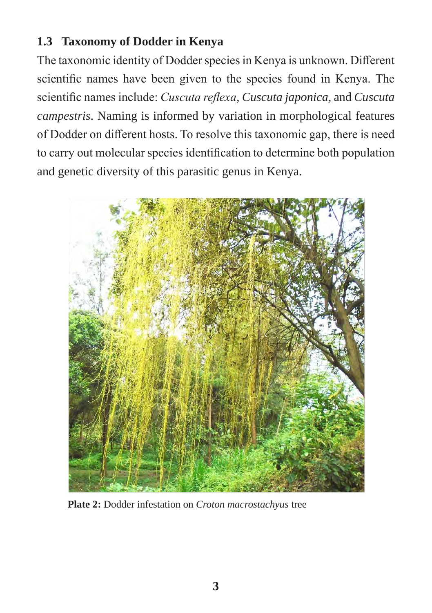#### **1.3 Taxonomy of Dodder in Kenya**

The taxonomic identity of Dodder species in Kenya is unknown. Different scientific names have been given to the species found in Kenya. The scientific names include: *Cuscuta reflexa*, *Cuscuta japonica,* and *Cuscuta campestris*. Naming is informed by variation in morphological features of Dodder on different hosts. To resolve this taxonomic gap, there is need to carry out molecular species identification to determine both population and genetic diversity of this parasitic genus in Kenya.



**Plate 2:** Dodder infestation on *Croton macrostachyus* tree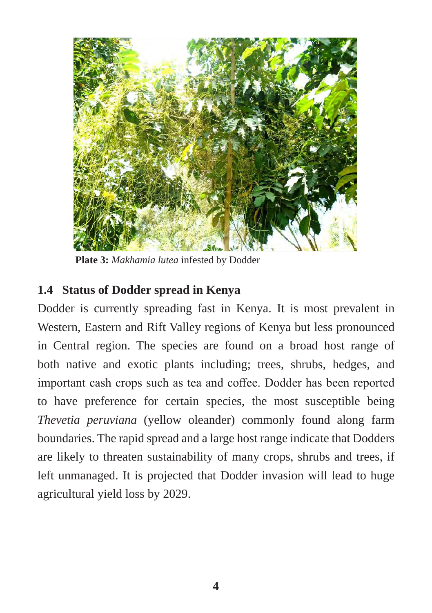

 **Plate 3:** *Makhamia lutea* infested by Dodder

#### **1.4 Status of Dodder spread in Kenya**

Dodder is currently spreading fast in Kenya. It is most prevalent in Western, Eastern and Rift Valley regions of Kenya but less pronounced in Central region. The species are found on a broad host range of both native and exotic plants including; trees, shrubs, hedges, and important cash crops such as tea and coffee. Dodder has been reported to have preference for certain species, the most susceptible being *Thevetia peruviana* (yellow oleander) commonly found along farm boundaries. The rapid spread and a large host range indicate that Dodders are likely to threaten sustainability of many crops, shrubs and trees, if left unmanaged. It is projected that Dodder invasion will lead to huge agricultural yield loss by 2029.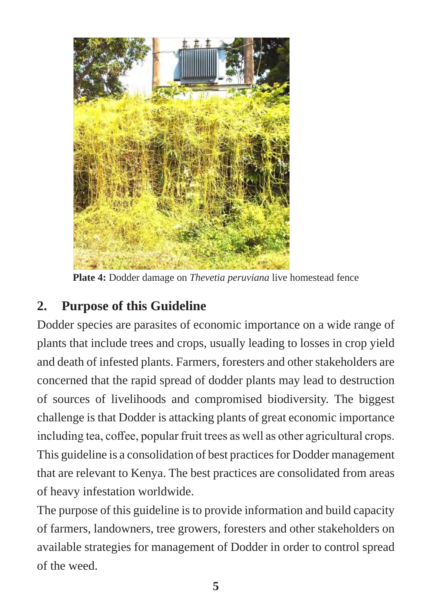

**Plate 4:** Dodder damage on *Thevetia peruviana* live homestead fence

# **2. Purpose of this Guideline**

Dodder species are parasites of economic importance on a wide range of plants that include trees and crops, usually leading to losses in crop yield and death of infested plants. Farmers, foresters and other stakeholders are concerned that the rapid spread of dodder plants may lead to destruction of sources of livelihoods and compromised biodiversity. The biggest challenge is that Dodder is attacking plants of great economic importance including tea, coffee, popular fruit trees as well as other agricultural crops. This guideline is a consolidation of best practices for Dodder management that are relevant to Kenya. The best practices are consolidated from areas of heavy infestation worldwide.

The purpose of this guideline is to provide information and build capacity of farmers, landowners, tree growers, foresters and other stakeholders on available strategies for management of Dodder in order to control spread of the weed.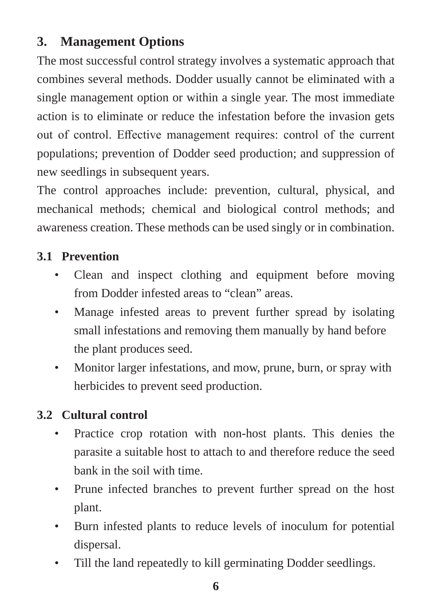# **3. Management Options**

The most successful control strategy involves a systematic approach that combines several methods. Dodder usually cannot be eliminated with a single management option or within a single year. The most immediate action is to eliminate or reduce the infestation before the invasion gets out of control. Effective management requires: control of the current populations; prevention of Dodder seed production; and suppression of new seedlings in subsequent years.

The control approaches include: prevention, cultural, physical, and mechanical methods; chemical and biological control methods; and awareness creation. These methods can be used singly or in combination.

#### **3.1 Prevention**

- Clean and inspect clothing and equipment before moving from Dodder infested areas to "clean" areas.
- Manage infested areas to prevent further spread by isolating small infestations and removing them manually by hand before the plant produces seed.
- Monitor larger infestations, and mow, prune, burn, or spray with herbicides to prevent seed production.

#### **3.2 Cultural control**

- Practice crop rotation with non-host plants. This denies the parasite a suitable host to attach to and therefore reduce the seed bank in the soil with time.
- Prune infected branches to prevent further spread on the host plant.
- Burn infested plants to reduce levels of inoculum for potential dispersal.
- Till the land repeatedly to kill germinating Dodder seedlings.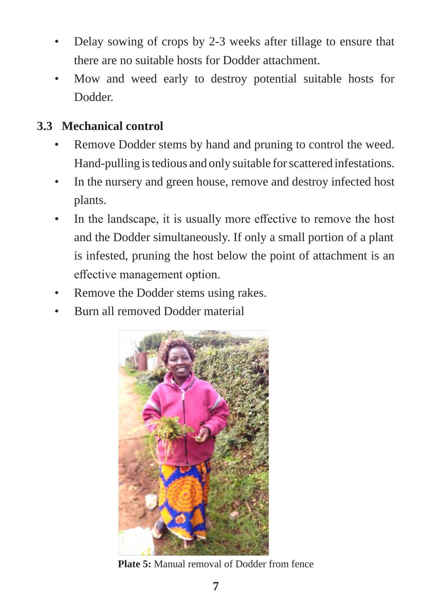- Delay sowing of crops by 2-3 weeks after tillage to ensure that there are no suitable hosts for Dodder attachment.
- Mow and weed early to destroy potential suitable hosts for Dodder.

#### **3.3 Mechanical control**

- Remove Dodder stems by hand and pruning to control the weed. Hand-pulling is tedious and only suitable for scattered infestations.
- In the nursery and green house, remove and destroy infected host plants.
- In the landscape, it is usually more effective to remove the host and the Dodder simultaneously. If only a small portion of a plant is infested, pruning the host below the point of attachment is an effective management option.
- Remove the Dodder stems using rakes.
- Burn all removed Dodder material



**Plate 5:** Manual removal of Dodder from fence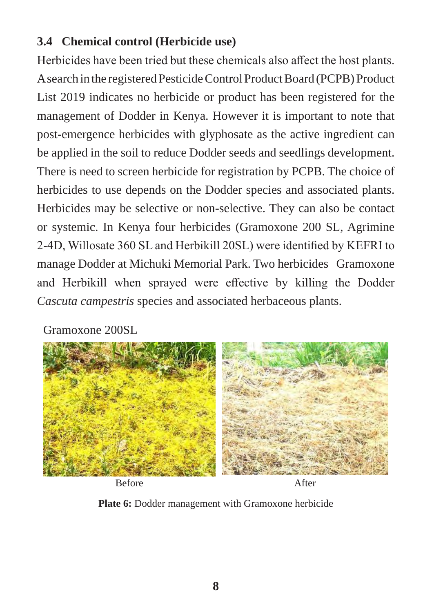#### **3.4 Chemical control (Herbicide use)**

Herbicides have been tried but these chemicals also affect the host plants. A search in the registered Pesticide Control Product Board (PCPB) Product List 2019 indicates no herbicide or product has been registered for the management of Dodder in Kenya. However it is important to note that post-emergence herbicides with glyphosate as the active ingredient can be applied in the soil to reduce Dodder seeds and seedlings development. There is need to screen herbicide for registration by PCPB. The choice of herbicides to use depends on the Dodder species and associated plants. Herbicides may be selective or non-selective. They can also be contact or systemic. In Kenya four herbicides (Gramoxone 200 SL, Agrimine 2-4D, Willosate 360 SL and Herbikill 20SL) were identified by KEFRI to manage Dodder at Michuki Memorial Park. Two herbicides Gramoxone and Herbikill when sprayed were effective by killing the Dodder *Cascuta campestris* species and associated herbaceous plants.

Gramoxone 200SL



Before After

**Plate 6:** Dodder management with Gramoxone herbicide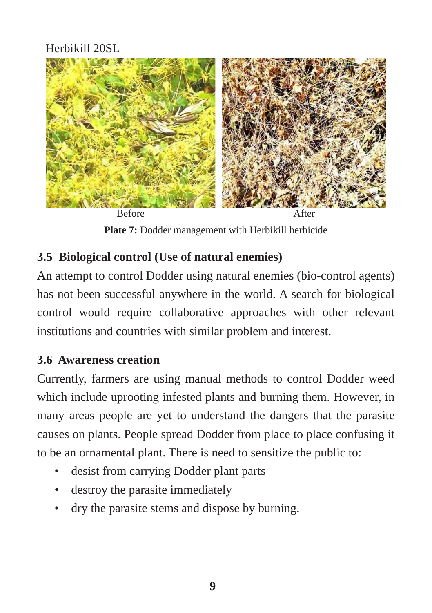### Herbikill 20SL



Plate 7: Dodder management with Herbikill herbicide

#### **3.5 Biological control (Use of natural enemies)**

An attempt to control Dodder using natural enemies (bio-control agents) has not been successful anywhere in the world. A search for biological control would require collaborative approaches with other relevant institutions and countries with similar problem and interest.

#### **3.6 Awareness creation**

Currently, farmers are using manual methods to control Dodder weed which include uprooting infested plants and burning them. However, in many areas people are yet to understand the dangers that the parasite causes on plants. People spread Dodder from place to place confusing it to be an ornamental plant. There is need to sensitize the public to:

- desist from carrying Dodder plant parts
- destroy the parasite immediately
- dry the parasite stems and dispose by burning.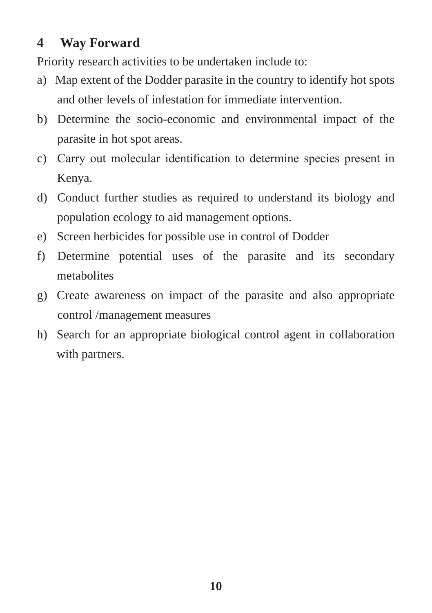## **4 Way Forward**

Priority research activities to be undertaken include to:

- a) Map extent of the Dodder parasite in the country to identify hot spots and other levels of infestation for immediate intervention.
- b) Determine the socio-economic and environmental impact of the parasite in hot spot areas.
- c) Carry out molecular identification to determine species present in Kenya.
- d) Conduct further studies as required to understand its biology and population ecology to aid management options.
- e) Screen herbicides for possible use in control of Dodder
- f) Determine potential uses of the parasite and its secondary metabolites
- g) Create awareness on impact of the parasite and also appropriate control /management measures
- h) Search for an appropriate biological control agent in collaboration with partners.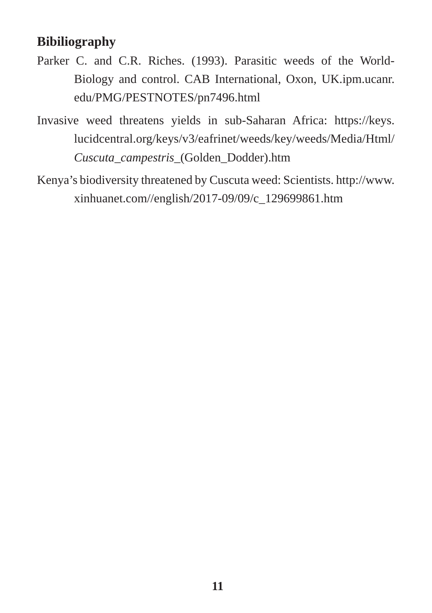#### **Bibiliography**

- Parker C. and C.R. Riches. (1993). Parasitic weeds of the World-Biology and control. CAB International, Oxon, UK.ipm.ucanr. edu/PMG/PESTNOTES/pn7496.html
- Invasive weed threatens yields in sub-Saharan Africa: https://keys. lucidcentral.org/keys/v3/eafrinet/weeds/key/weeds/Media/Html/ *Cuscuta\_campestris*\_(Golden\_Dodder).htm
- Kenya's biodiversity threatened by Cuscuta weed: Scientists. http://www. xinhuanet.com//english/2017-09/09/c\_129699861.htm